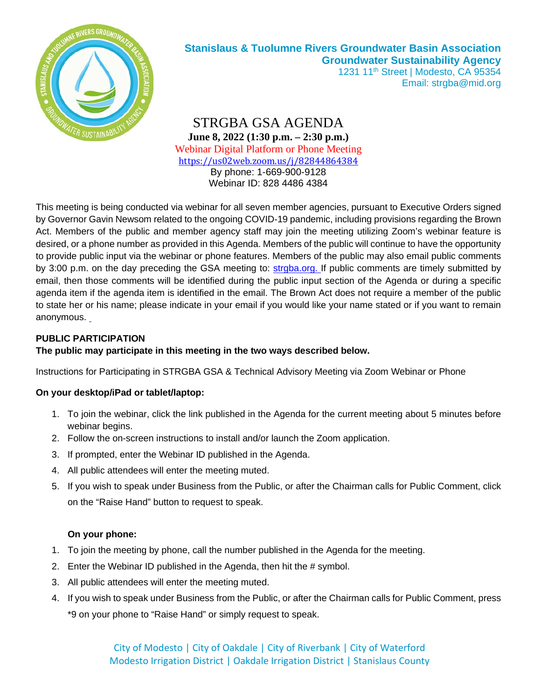

# **Stanislaus & Tuolumne Rivers Groundwater Basin Association Groundwater Sustainability Agency**

1231 11<sup>th</sup> Street | Modesto, CA 95354 Email: strgba@mid.org

STRGBA GSA AGENDA **June 8, 2022 (1:30 p.m. – 2:30 p.m.)** Webinar Digital Platform or Phone Meeting https://us02web.zoom.us/j/82844864384 By phone: 1-669-900-9128 Webinar ID: 828 4486 4384

This meeting is being conducted via webinar for all seven member agencies, pursuant to Executive Orders signed by Governor Gavin Newsom related to the ongoing COVID-19 pandemic, including provisions regarding the Brown Act. Members of the public and member agency staff may join the meeting utilizing Zoom's webinar feature is desired, or a phone number as provided in this Agenda. Members of the public will continue to have the opportunity to provide public input via the webinar or phone features. Members of the public may also email public comments by 3:00 p.m. on the day preceding the GSA meeting to: strgba.org. If public comments are timely submitted by email, then those comments will be identified during the public input section of the Agenda or during a specific agenda item if the agenda item is identified in the email. The Brown Act does not require a member of the public to state her or his name; please indicate in your email if you would like your name stated or if you want to remain anonymous.

#### **PUBLIC PARTICIPATION**

#### **The public may participate in this meeting in the two ways described below.**

Instructions for Participating in STRGBA GSA & Technical Advisory Meeting via Zoom Webinar or Phone

#### **On your desktop/iPad or tablet/laptop:**

- 1. To join the webinar, click the link published in the Agenda for the current meeting about 5 minutes before webinar begins.
- 2. Follow the on-screen instructions to install and/or launch the Zoom application.
- 3. If prompted, enter the Webinar ID published in the Agenda.
- 4. All public attendees will enter the meeting muted.
- 5. If you wish to speak under Business from the Public, or after the Chairman calls for Public Comment, click on the "Raise Hand" button to request to speak.

#### **On your phone:**

- 1. To join the meeting by phone, call the number published in the Agenda for the meeting.
- 2. Enter the Webinar ID published in the Agenda, then hit the # symbol.
- 3. All public attendees will enter the meeting muted.
- 4. If you wish to speak under Business from the Public, or after the Chairman calls for Public Comment, press \*9 on your phone to "Raise Hand" or simply request to speak.

City of Modesto | City of Oakdale | City of Riverbank | City of Waterford Modesto Irrigation District | Oakdale Irrigation District | Stanislaus County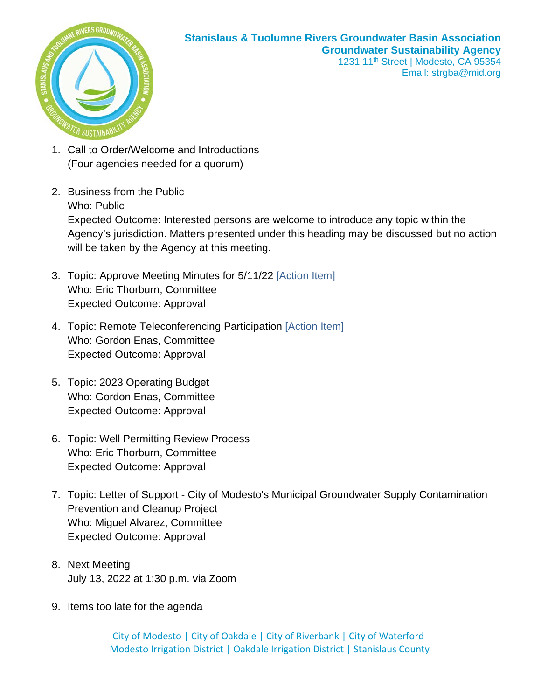

#### **Stanislaus & Tuolumne Rivers Groundwater Basin Association Groundwater Sustainability Agency** 1231 11<sup>th</sup> Street | Modesto, CA 95354 Email: strgba@mid.org

- 1. Call to Order/Welcome and Introductions (Four agencies needed for a quorum)
- 2. Business from the Public Who: Public Expected Outcome: Interested persons are welcome to introduce any topic within the Agency's jurisdiction. Matters presented under this heading may be discussed but no action will be taken by the Agency at this meeting.
- 3. Topic: Approve Meeting Minutes for 5/11/22 [Action Item] Who: Eric Thorburn, Committee Expected Outcome: Approval
- 4. Topic: Remote Teleconferencing Participation [Action Item] Who: Gordon Enas, Committee Expected Outcome: Approval
- 5. Topic: 2023 Operating Budget Who: Gordon Enas, Committee Expected Outcome: Approval
- 6. Topic: Well Permitting Review Process Who: Eric Thorburn, Committee Expected Outcome: Approval
- 7. Topic: Letter of Support City of Modesto's Municipal Groundwater Supply Contamination Prevention and Cleanup Project Who: Miguel Alvarez, Committee Expected Outcome: Approval
- 8. Next Meeting July 13, 2022 at 1:30 p.m. via Zoom
- 9. Items too late for the agenda

City of Modesto | City of Oakdale | City of Riverbank | City of Waterford Modesto Irrigation District | Oakdale Irrigation District | Stanislaus County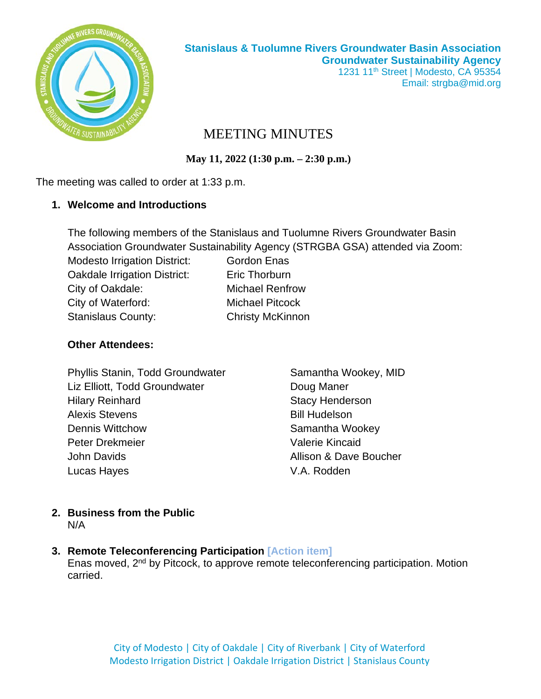

# MEETING MINUTES

**May 11, 2022 (1:30 p.m. – 2:30 p.m.)**

The meeting was called to order at 1:33 p.m.

#### **1. Welcome and Introductions**

|                                     | The following members of the Stanislaus and Tuolumne Rivers Groundwater Basin |
|-------------------------------------|-------------------------------------------------------------------------------|
|                                     | Association Groundwater Sustainability Agency (STRGBA GSA) attended via Zoom: |
| <b>Modesto Irrigation District:</b> | <b>Gordon Enas</b>                                                            |
| Oakdale Irrigation District:        | Eric Thorburn                                                                 |
| City of Oakdale:                    | <b>Michael Renfrow</b>                                                        |
| City of Waterford:                  | <b>Michael Pitcock</b>                                                        |
| <b>Stanislaus County:</b>           | <b>Christy McKinnon</b>                                                       |
|                                     |                                                                               |

#### **Other Attendees:**

| Phyllis Stanin, Todd Groundwater | Samantha Wookey, MID   |  |  |
|----------------------------------|------------------------|--|--|
| Liz Elliott, Todd Groundwater    | Doug Maner             |  |  |
| <b>Hilary Reinhard</b>           | <b>Stacy Henderson</b> |  |  |
| <b>Alexis Stevens</b>            | <b>Bill Hudelson</b>   |  |  |
| <b>Dennis Wittchow</b>           | Samantha Wookey        |  |  |
| <b>Peter Drekmeier</b>           | <b>Valerie Kincaid</b> |  |  |
| John Davids                      | Allison & Dave Boucher |  |  |
| Lucas Hayes                      | V.A. Rodden            |  |  |

# **2. Business from the Public** N/A

**3. Remote Teleconferencing Participation [Action item]**

Enas moved, 2nd by Pitcock, to approve remote teleconferencing participation. Motion carried.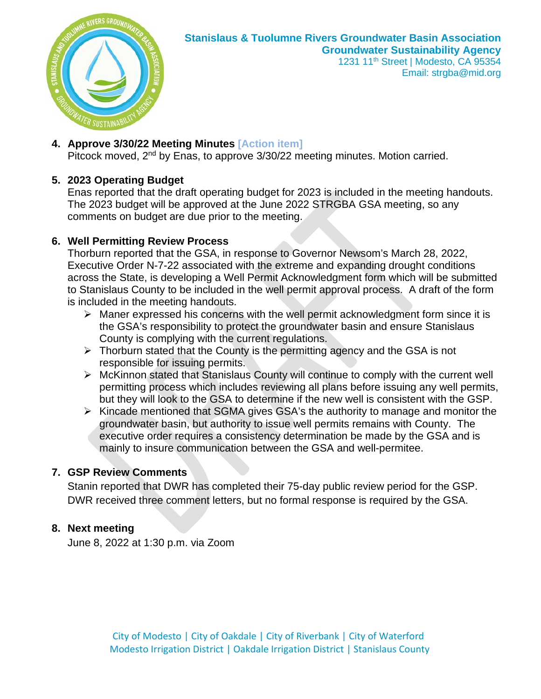

#### **Stanislaus & Tuolumne Rivers Groundwater Basin Association Groundwater Sustainability Agency** 1231 11<sup>th</sup> Street | Modesto, CA 95354

Email: strgba@mid.org

#### **4. Approve 3/30/22 Meeting Minutes [Action item]**

Pitcock moved, 2<sup>nd</sup> by Enas, to approve 3/30/22 meeting minutes. Motion carried.

### **5. 2023 Operating Budget**

Enas reported that the draft operating budget for 2023 is included in the meeting handouts. The 2023 budget will be approved at the June 2022 STRGBA GSA meeting, so any comments on budget are due prior to the meeting.

#### **6. Well Permitting Review Process**

Thorburn reported that the GSA, in response to Governor Newsom's March 28, 2022, Executive Order N-7-22 associated with the extreme and expanding drought conditions across the State, is developing a Well Permit Acknowledgment form which will be submitted to Stanislaus County to be included in the well permit approval process. A draft of the form is included in the meeting handouts.

- $\triangleright$  Maner expressed his concerns with the well permit acknowledgment form since it is the GSA's responsibility to protect the groundwater basin and ensure Stanislaus County is complying with the current regulations.
- $\triangleright$  Thorburn stated that the County is the permitting agency and the GSA is not responsible for issuing permits.
- $\triangleright$  McKinnon stated that Stanislaus County will continue to comply with the current well permitting process which includes reviewing all plans before issuing any well permits, but they will look to the GSA to determine if the new well is consistent with the GSP.
- $\triangleright$  Kincade mentioned that SGMA gives GSA's the authority to manage and monitor the groundwater basin, but authority to issue well permits remains with County. The executive order requires a consistency determination be made by the GSA and is mainly to insure communication between the GSA and well-permitee.

### **7. GSP Review Comments**

Stanin reported that DWR has completed their 75-day public review period for the GSP. DWR received three comment letters, but no formal response is required by the GSA.

### **8. Next meeting**

June 8, 2022 at 1:30 p.m. via Zoom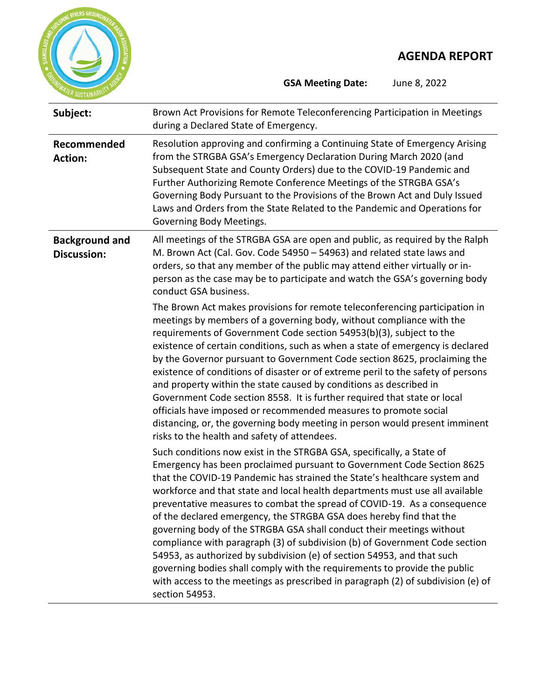

**GSA Meeting Date:** June 8, 2022

| Subject:                                    | Brown Act Provisions for Remote Teleconferencing Participation in Meetings<br>during a Declared State of Emergency.                                                                                                                                                                                                                                                                                                                                                                                                                                                                                                                                                                                                                                                                                                                                                                                                                                                                   |
|---------------------------------------------|---------------------------------------------------------------------------------------------------------------------------------------------------------------------------------------------------------------------------------------------------------------------------------------------------------------------------------------------------------------------------------------------------------------------------------------------------------------------------------------------------------------------------------------------------------------------------------------------------------------------------------------------------------------------------------------------------------------------------------------------------------------------------------------------------------------------------------------------------------------------------------------------------------------------------------------------------------------------------------------|
| Recommended<br><b>Action:</b>               | Resolution approving and confirming a Continuing State of Emergency Arising<br>from the STRGBA GSA's Emergency Declaration During March 2020 (and<br>Subsequent State and County Orders) due to the COVID-19 Pandemic and<br>Further Authorizing Remote Conference Meetings of the STRGBA GSA's<br>Governing Body Pursuant to the Provisions of the Brown Act and Duly Issued<br>Laws and Orders from the State Related to the Pandemic and Operations for<br>Governing Body Meetings.                                                                                                                                                                                                                                                                                                                                                                                                                                                                                                |
| <b>Background and</b><br><b>Discussion:</b> | All meetings of the STRGBA GSA are open and public, as required by the Ralph<br>M. Brown Act (Cal. Gov. Code 54950 - 54963) and related state laws and<br>orders, so that any member of the public may attend either virtually or in-<br>person as the case may be to participate and watch the GSA's governing body<br>conduct GSA business.                                                                                                                                                                                                                                                                                                                                                                                                                                                                                                                                                                                                                                         |
|                                             | The Brown Act makes provisions for remote teleconferencing participation in<br>meetings by members of a governing body, without compliance with the<br>requirements of Government Code section 54953(b)(3), subject to the<br>existence of certain conditions, such as when a state of emergency is declared<br>by the Governor pursuant to Government Code section 8625, proclaiming the<br>existence of conditions of disaster or of extreme peril to the safety of persons<br>and property within the state caused by conditions as described in<br>Government Code section 8558. It is further required that state or local<br>officials have imposed or recommended measures to promote social<br>distancing, or, the governing body meeting in person would present imminent<br>risks to the health and safety of attendees.<br>Such conditions now exist in the STRGBA GSA, specifically, a State of<br>Emergency has been proclaimed pursuant to Government Code Section 8625 |
|                                             | that the COVID-19 Pandemic has strained the State's healthcare system and<br>workforce and that state and local health departments must use all available<br>preventative measures to combat the spread of COVID-19. As a consequence<br>of the declared emergency, the STRGBA GSA does hereby find that the<br>governing body of the STRGBA GSA shall conduct their meetings without<br>compliance with paragraph (3) of subdivision (b) of Government Code section<br>54953, as authorized by subdivision (e) of section 54953, and that such<br>governing bodies shall comply with the requirements to provide the public<br>with access to the meetings as prescribed in paragraph (2) of subdivision (e) of<br>section 54953.                                                                                                                                                                                                                                                    |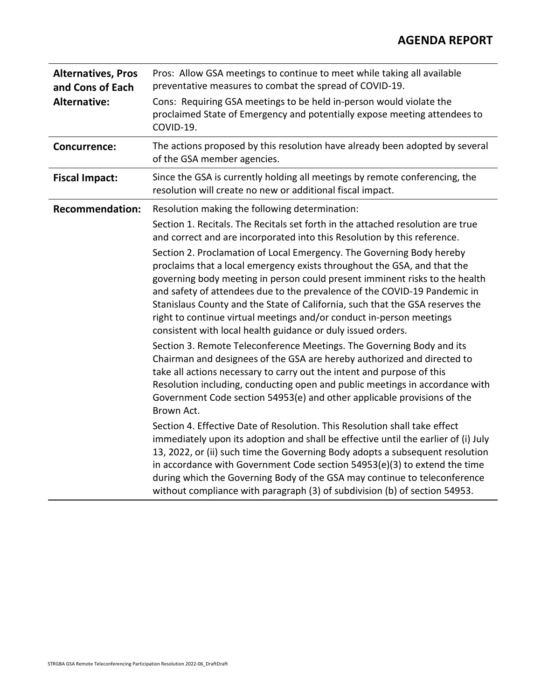| <b>Alternatives, Pros</b><br>and Cons of Each | Pros: Allow GSA meetings to continue to meet while taking all available<br>preventative measures to combat the spread of COVID-19.                                                                                                                                                                                                                                                                                                                                                                                                     |  |
|-----------------------------------------------|----------------------------------------------------------------------------------------------------------------------------------------------------------------------------------------------------------------------------------------------------------------------------------------------------------------------------------------------------------------------------------------------------------------------------------------------------------------------------------------------------------------------------------------|--|
| <b>Alternative:</b>                           | Cons: Requiring GSA meetings to be held in-person would violate the<br>proclaimed State of Emergency and potentially expose meeting attendees to<br>COVID-19.                                                                                                                                                                                                                                                                                                                                                                          |  |
| <b>Concurrence:</b>                           | The actions proposed by this resolution have already been adopted by several<br>of the GSA member agencies.                                                                                                                                                                                                                                                                                                                                                                                                                            |  |
| <b>Fiscal Impact:</b>                         | Since the GSA is currently holding all meetings by remote conferencing, the<br>resolution will create no new or additional fiscal impact.                                                                                                                                                                                                                                                                                                                                                                                              |  |
| <b>Recommendation:</b>                        | Resolution making the following determination:                                                                                                                                                                                                                                                                                                                                                                                                                                                                                         |  |
|                                               | Section 1. Recitals. The Recitals set forth in the attached resolution are true<br>and correct and are incorporated into this Resolution by this reference.                                                                                                                                                                                                                                                                                                                                                                            |  |
|                                               | Section 2. Proclamation of Local Emergency. The Governing Body hereby<br>proclaims that a local emergency exists throughout the GSA, and that the<br>governing body meeting in person could present imminent risks to the health<br>and safety of attendees due to the prevalence of the COVID-19 Pandemic in<br>Stanislaus County and the State of California, such that the GSA reserves the<br>right to continue virtual meetings and/or conduct in-person meetings<br>consistent with local health guidance or duly issued orders. |  |
|                                               | Section 3. Remote Teleconference Meetings. The Governing Body and its<br>Chairman and designees of the GSA are hereby authorized and directed to<br>take all actions necessary to carry out the intent and purpose of this<br>Resolution including, conducting open and public meetings in accordance with<br>Government Code section 54953(e) and other applicable provisions of the<br>Brown Act.                                                                                                                                    |  |
|                                               | Section 4. Effective Date of Resolution. This Resolution shall take effect<br>immediately upon its adoption and shall be effective until the earlier of (i) July<br>13, 2022, or (ii) such time the Governing Body adopts a subsequent resolution<br>in accordance with Government Code section 54953(e)(3) to extend the time<br>during which the Governing Body of the GSA may continue to teleconference<br>without compliance with paragraph (3) of subdivision (b) of section 54953.                                              |  |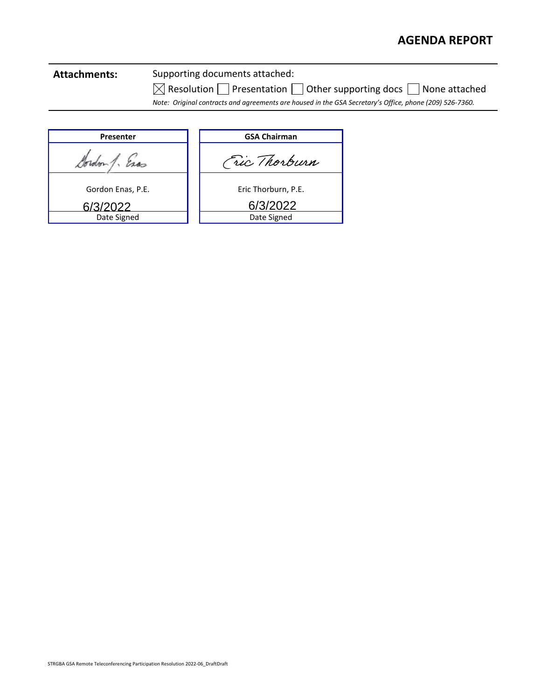# **Attachments:** Supporting documents attached:

 $\boxtimes$  Resolution  $\Box$  Presentation  $\Box$  Other supporting docs  $\Box$  None attached

*Note: Original contracts and agreements are housed in the GSA Secretary's Office, phone (209) 526-7360.*

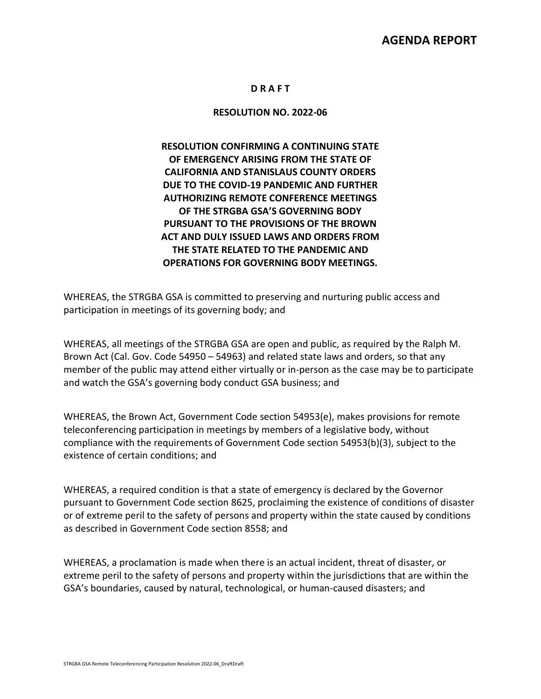#### **D R A F T**

#### **RESOLUTION NO. 2022-06**

#### **RESOLUTION CONFIRMING A CONTINUING STATE OF EMERGENCY ARISING FROM THE STATE OF CALIFORNIA AND STANISLAUS COUNTY ORDERS DUE TO THE COVID-19 PANDEMIC AND FURTHER AUTHORIZING REMOTE CONFERENCE MEETINGS OF THE STRGBA GSA'S GOVERNING BODY PURSUANT TO THE PROVISIONS OF THE BROWN ACT AND DULY ISSUED LAWS AND ORDERS FROM THE STATE RELATED TO THE PANDEMIC AND OPERATIONS FOR GOVERNING BODY MEETINGS.**

WHEREAS, the STRGBA GSA is committed to preserving and nurturing public access and participation in meetings of its governing body; and

WHEREAS, all meetings of the STRGBA GSA are open and public, as required by the Ralph M. Brown Act (Cal. Gov. Code 54950 – 54963) and related state laws and orders, so that any member of the public may attend either virtually or in-person as the case may be to participate and watch the GSA's governing body conduct GSA business; and

WHEREAS, the Brown Act, Government Code section 54953(e), makes provisions for remote teleconferencing participation in meetings by members of a legislative body, without compliance with the requirements of Government Code section 54953(b)(3), subject to the existence of certain conditions; and

WHEREAS, a required condition is that a state of emergency is declared by the Governor pursuant to Government Code section 8625, proclaiming the existence of conditions of disaster or of extreme peril to the safety of persons and property within the state caused by conditions as described in Government Code section 8558; and

WHEREAS, a proclamation is made when there is an actual incident, threat of disaster, or extreme peril to the safety of persons and property within the jurisdictions that are within the GSA's boundaries, caused by natural, technological, or human-caused disasters; and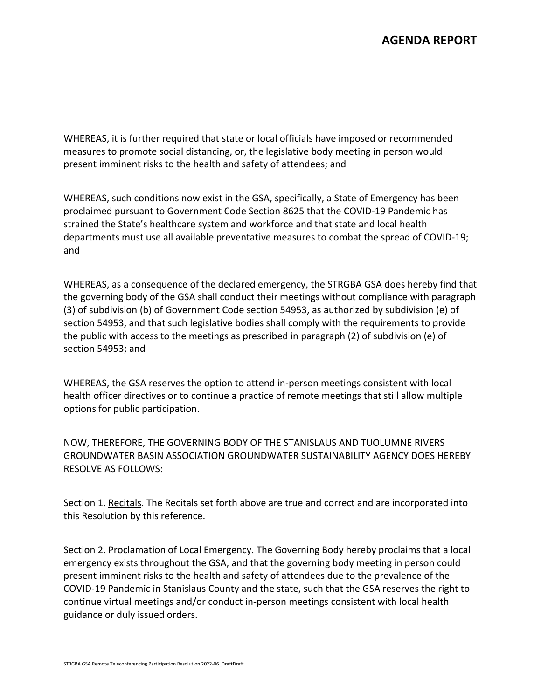WHEREAS, it is further required that state or local officials have imposed or recommended measures to promote social distancing, or, the legislative body meeting in person would present imminent risks to the health and safety of attendees; and

WHEREAS, such conditions now exist in the GSA, specifically, a State of Emergency has been proclaimed pursuant to Government Code Section 8625 that the COVID-19 Pandemic has strained the State's healthcare system and workforce and that state and local health departments must use all available preventative measures to combat the spread of COVID-19; and

WHEREAS, as a consequence of the declared emergency, the STRGBA GSA does hereby find that the governing body of the GSA shall conduct their meetings without compliance with paragraph (3) of subdivision (b) of Government Code section 54953, as authorized by subdivision (e) of section 54953, and that such legislative bodies shall comply with the requirements to provide the public with access to the meetings as prescribed in paragraph (2) of subdivision (e) of section 54953; and

WHEREAS, the GSA reserves the option to attend in-person meetings consistent with local health officer directives or to continue a practice of remote meetings that still allow multiple options for public participation.

NOW, THEREFORE, THE GOVERNING BODY OF THE STANISLAUS AND TUOLUMNE RIVERS GROUNDWATER BASIN ASSOCIATION GROUNDWATER SUSTAINABILITY AGENCY DOES HEREBY RESOLVE AS FOLLOWS:

Section 1. Recitals. The Recitals set forth above are true and correct and are incorporated into this Resolution by this reference.

Section 2. Proclamation of Local Emergency. The Governing Body hereby proclaims that a local emergency exists throughout the GSA, and that the governing body meeting in person could present imminent risks to the health and safety of attendees due to the prevalence of the COVID-19 Pandemic in Stanislaus County and the state, such that the GSA reserves the right to continue virtual meetings and/or conduct in-person meetings consistent with local health guidance or duly issued orders.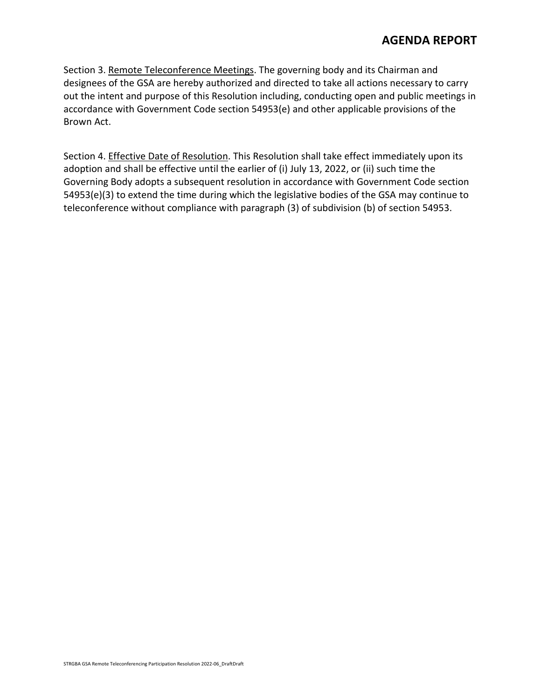Section 3. Remote Teleconference Meetings. The governing body and its Chairman and designees of the GSA are hereby authorized and directed to take all actions necessary to carry out the intent and purpose of this Resolution including, conducting open and public meetings in accordance with Government Code section 54953(e) and other applicable provisions of the Brown Act.

Section 4. Effective Date of Resolution. This Resolution shall take effect immediately upon its adoption and shall be effective until the earlier of (i) July 13, 2022, or (ii) such time the Governing Body adopts a subsequent resolution in accordance with Government Code section 54953(e)(3) to extend the time during which the legislative bodies of the GSA may continue to teleconference without compliance with paragraph (3) of subdivision (b) of section 54953.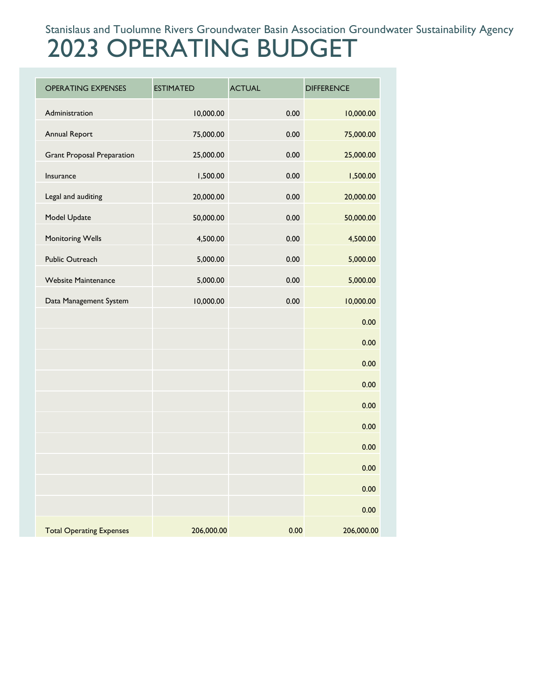# Stanislaus and Tuolumne Rivers Groundwater Basin Association Groundwater Sustainability Agency

# 2023 OPERATING BUDGET

| <b>OPERATING EXPENSES</b>         | <b>ESTIMATED</b> | <b>ACTUAL</b> | <b>DIFFERENCE</b> |
|-----------------------------------|------------------|---------------|-------------------|
| Administration                    | 10,000.00        | 0.00          | 10,000.00         |
| <b>Annual Report</b>              | 75,000.00        | 0.00          | 75,000.00         |
| <b>Grant Proposal Preparation</b> | 25,000.00        | 0.00          | 25,000.00         |
| Insurance                         | 1,500.00         | 0.00          | 1,500.00          |
| Legal and auditing                | 20,000.00        | 0.00          | 20,000.00         |
| Model Update                      | 50,000.00        | 0.00          | 50,000.00         |
| Monitoring Wells                  | 4,500.00         | 0.00          | 4,500.00          |
| Public Outreach                   | 5,000.00         | 0.00          | 5,000.00          |
| <b>Website Maintenance</b>        | 5,000.00         | 0.00          | 5,000.00          |
| Data Management System            | 10,000.00        | 0.00          | 10,000.00         |
|                                   |                  |               | 0.00              |
|                                   |                  |               | 0.00              |
|                                   |                  |               | 0.00              |
|                                   |                  |               | 0.00              |
|                                   |                  |               | 0.00              |
|                                   |                  |               | 0.00              |
|                                   |                  |               | 0.00              |
|                                   |                  |               | 0.00              |
|                                   |                  |               | 0.00              |
|                                   |                  |               | 0.00              |
| <b>Total Operating Expenses</b>   | 206,000.00       | 0.00          | 206,000.00        |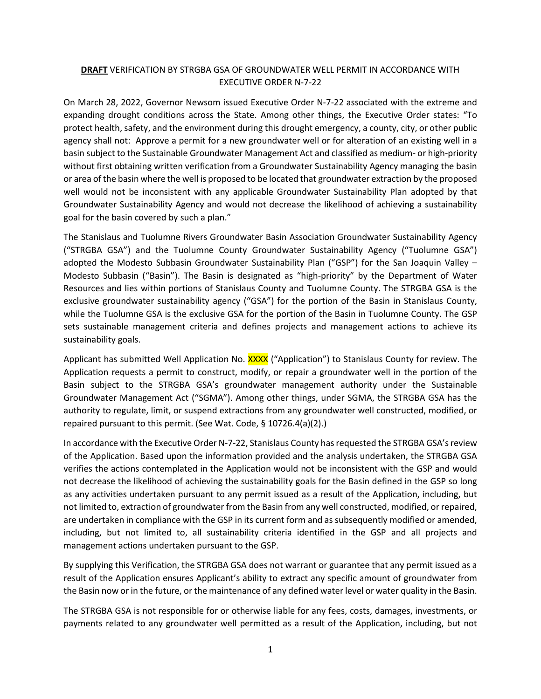#### **DRAFT** VERIFICATION BY STRGBA GSA OF GROUNDWATER WELL PERMIT IN ACCORDANCE WITH EXECUTIVE ORDER N-7-22

On March 28, 2022, Governor Newsom issued Executive Order N-7-22 associated with the extreme and expanding drought conditions across the State. Among other things, the Executive Order states: "To protect health, safety, and the environment during this drought emergency, a county, city, or other public agency shall not: Approve a permit for a new groundwater well or for alteration of an existing well in a basin subject to the Sustainable Groundwater Management Act and classified as medium- or high-priority without first obtaining written verification from a Groundwater Sustainability Agency managing the basin or area of the basin where the well is proposed to be located that groundwater extraction by the proposed well would not be inconsistent with any applicable Groundwater Sustainability Plan adopted by that Groundwater Sustainability Agency and would not decrease the likelihood of achieving a sustainability goal for the basin covered by such a plan."

The Stanislaus and Tuolumne Rivers Groundwater Basin Association Groundwater Sustainability Agency ("STRGBA GSA") and the Tuolumne County Groundwater Sustainability Agency ("Tuolumne GSA") adopted the Modesto Subbasin Groundwater Sustainability Plan ("GSP") for the San Joaquin Valley -Modesto Subbasin ("Basin"). The Basin is designated as "high-priority" by the Department of Water Resources and lies within portions of Stanislaus County and Tuolumne County. The STRGBA GSA is the exclusive groundwater sustainability agency ("GSA") for the portion of the Basin in Stanislaus County, while the Tuolumne GSA is the exclusive GSA for the portion of the Basin in Tuolumne County. The GSP sets sustainable management criteria and defines projects and management actions to achieve its sustainability goals.

Applicant has submitted Well Application No. XXXX ("Application") to Stanislaus County for review. The Application requests a permit to construct, modify, or repair a groundwater well in the portion of the Basin subject to the STRGBA GSA's groundwater management authority under the Sustainable Groundwater Management Act ("SGMA"). Among other things, under SGMA, the STRGBA GSA has the authority to regulate, limit, or suspend extractions from any groundwater well constructed, modified, or repaired pursuant to this permit. (See Wat. Code, § 10726.4(a)(2).)

In accordance with the Executive Order N-7-22, Stanislaus County has requested the STRGBA GSA's review of the Application. Based upon the information provided and the analysis undertaken, the STRGBA GSA verifies the actions contemplated in the Application would not be inconsistent with the GSP and would not decrease the likelihood of achieving the sustainability goals for the Basin defined in the GSP so long as any activities undertaken pursuant to any permit issued as a result of the Application, including, but not limited to, extraction of groundwater from the Basin from any well constructed, modified, or repaired, are undertaken in compliance with the GSP in its current form and as subsequently modified or amended, including, but not limited to, all sustainability criteria identified in the GSP and all projects and management actions undertaken pursuant to the GSP.

By supplying this Verification, the STRGBA GSA does not warrant or guarantee that any permit issued as a result of the Application ensures Applicant's ability to extract any specific amount of groundwater from the Basin now or in the future, or the maintenance of any defined water level or water quality in the Basin.

The STRGBA GSA is not responsible for or otherwise liable for any fees, costs, damages, investments, or payments related to any groundwater well permitted as a result of the Application, including, but not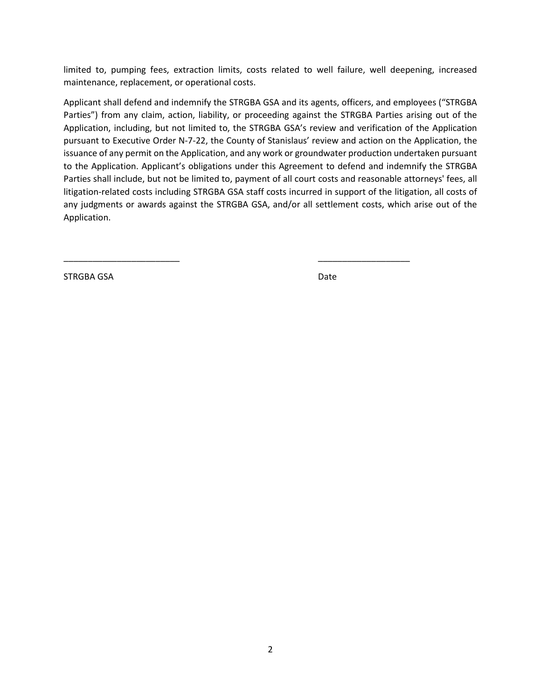limited to, pumping fees, extraction limits, costs related to well failure, well deepening, increased maintenance, replacement, or operational costs.

Applicant shall defend and indemnify the STRGBA GSA and its agents, officers, and employees ("STRGBA Parties") from any claim, action, liability, or proceeding against the STRGBA Parties arising out of the Application, including, but not limited to, the STRGBA GSA's review and verification of the Application pursuant to Executive Order N-7-22, the County of Stanislaus' review and action on the Application, the issuance of any permit on the Application, and any work or groundwater production undertaken pursuant to the Application. Applicant's obligations under this Agreement to defend and indemnify the STRGBA Parties shall include, but not be limited to, payment of all court costs and reasonable attorneys' fees, all litigation-related costs including STRGBA GSA staff costs incurred in support of the litigation, all costs of any judgments or awards against the STRGBA GSA, and/or all settlement costs, which arise out of the Application.

\_\_\_\_\_\_\_\_\_\_\_\_\_\_\_\_\_\_\_\_\_\_\_\_ \_\_\_\_\_\_\_\_\_\_\_\_\_\_\_\_\_\_\_

STRGBA GSA Date